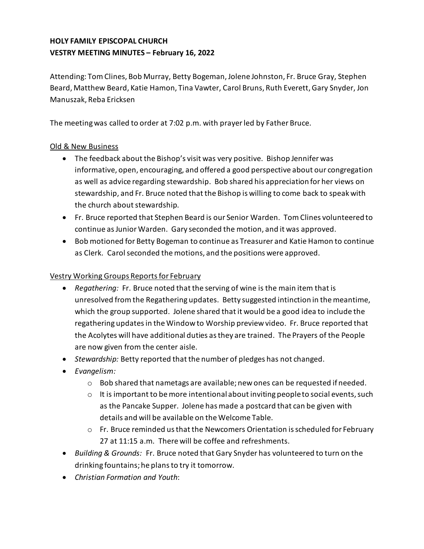# **HOLY FAMILY EPISCOPAL CHURCH VESTRY MEETING MINUTES – February 16, 2022**

Attending: TomClines, Bob Murray, Betty Bogeman,Jolene Johnston, Fr. Bruce Gray, Stephen Beard, Matthew Beard, Katie Hamon, Tina Vawter, Carol Bruns, Ruth Everett, Gary Snyder, Jon Manuszak, Reba Ericksen

The meetingwas called to order at 7:02 p.m. with prayerled by Father Bruce.

### Old & New Business

- The feedback about the Bishop's visit was very positive. Bishop Jennifer was informative, open, encouraging, and offered a good perspective about our congregation as well as advice regarding stewardship. Bob shared his appreciation for her views on stewardship, and Fr. Bruce noted that the Bishop is willing to come back to speak with the church about stewardship.
- Fr. Bruce reported that Stephen Beard is our Senior Warden. TomClines volunteered to continue asJunior Warden. Gary seconded the motion, and it was approved.
- Bob motioned for Betty Bogeman to continue as Treasurer and Katie Hamon to continue as Clerk. Carol seconded the motions, and the positions were approved.

### Vestry Working Groups Reportsfor February

- *Regathering:* Fr. Bruce noted that the serving of wine is the main item that is unresolved fromthe Regathering updates. Betty suggested intinction in themeantime, which the group supported. Jolene shared thatit would be a good idea to include the regathering updatesin the Window to Worship preview video. Fr. Bruce reported that the Acolytes will have additional duties asthey are trained. The Prayers of the People are now given from the center aisle.
- *Stewardship:* Betty reported that the number of pledges has not changed.
- *Evangelism:* 
	- $\circ$  Bob shared that nametags are available; new ones can be requested if needed.
	- $\circ$  It is important to be more intentional about inviting peopleto social events, such as the Pancake Supper. Jolene has made a postcard that can be given with details and will be available on the Welcome Table.
	- $\circ$  Fr. Bruce reminded us that the Newcomers Orientation is scheduled for February 27 at 11:15 a.m. There will be coffee and refreshments.
- *Building & Grounds:* Fr. Bruce noted that Gary Snyder has volunteered to turn on the drinking fountains; he plansto try it tomorrow.
- *Christian Formation and Youth*: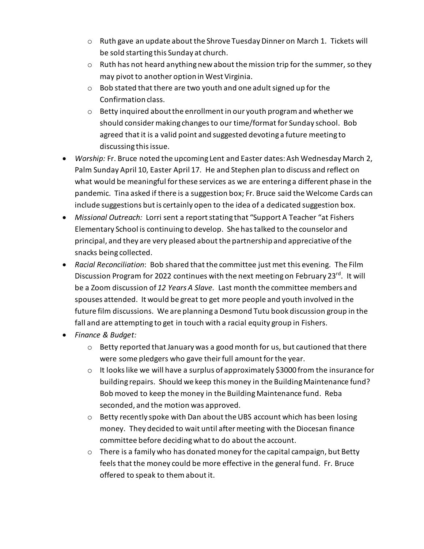- o Ruth gave an update about the Shrove Tuesday Dinner on March 1. Tickets will be sold starting this Sunday at church.
- o Ruth has not heard anything newabout themission trip for the summer, so they may pivot to another option in West Virginia.
- $\circ$  Bob stated that there are two youth and one adult signed up for the Confirmation class.
- $\circ$  Betty inquired about the enrollment in our youth program and whether we should consider making changesto our time/format for Sunday school. Bob agreed that it is a valid point and suggested devoting a future meeting to discussing this issue.
- *Worship:* Fr. Bruce noted the upcoming Lent and Easter dates: Ash Wednesday March 2, Palm Sunday April 10, Easter April 17. He and Stephen plan to discuss and reflect on what would be meaningful forthese services as we are entering a different phase in the pandemic. Tina asked if there is a suggestion box; Fr. Bruce said the Welcome Cards can include suggestions but is certainly open to the idea of a dedicated suggestion box.
- *Missional Outreach:* Lorri sent a reportstating that "Support A Teacher "at Fishers Elementary School is continuing to develop. She hastalked to the counselor and principal, and they are very pleased about the partnership and appreciative ofthe snacks being collected.
- *Racial Reconciliation*: Bob shared that the committee just met this evening. The Film Discussion Program for 2022 continues with the next meeting on February 23<sup>rd</sup>. It will be a Zoom discussion of *12 Years A Slave.* Last month the committee members and spouses attended. It would be great to get more people and youth involved in the future film discussions. We are planning a Desmond Tutu book discussion group in the fall and are attempting to get in touch with a racial equity group in Fishers.
- *Finance & Budget:*
	- o Betty reported that January was a good month for us, but cautioned that there were some pledgers who gave their full amount for the year.
	- $\circ$  It looks like we will have a surplus of approximately \$3000 from the insurance for building repairs. Should we keep this money in the Building Maintenance fund? Bob moved to keep the money in the Building Maintenance fund. Reba seconded, and the motion was approved.
	- $\circ$  Betty recently spoke with Dan about the UBS account which has been losing money. They decided to wait until aftermeeting with the Diocesan finance committee before decidingwhat to do about the account.
	- $\circ$  There is a family who has donated money for the capital campaign, but Betty feels that the money could be more effective in the general fund. Fr. Bruce offered to speak to themabout it.